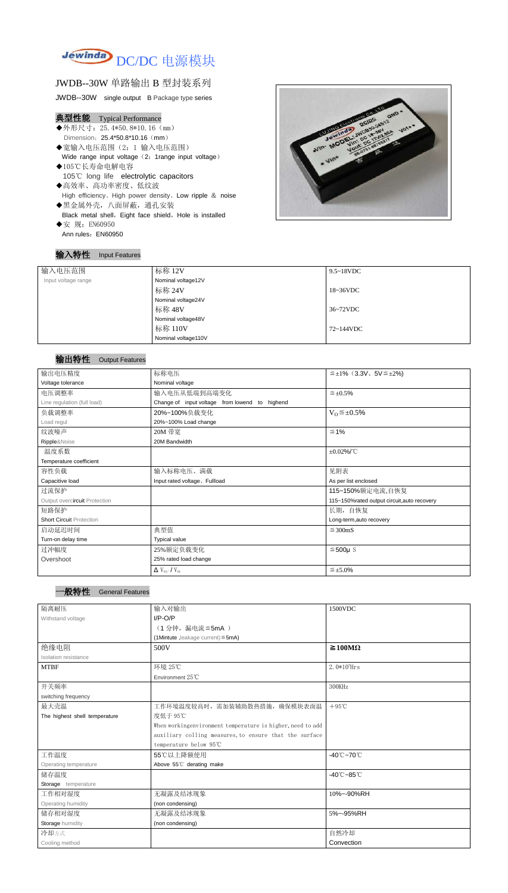

# JWDB--30W 单路输出 B 型封装系列

JWDB--30W single output B Package type series

# 典型性能 Typical Performance

- ◆外形尺寸: 25.4\*50.8\*10.16 (mm) Dimension: 25.4\*50.8\*10.16 (mm)
- ◆宽输入电压范围(2:1 输入电压范围) Wide range input voltage (2: 1range input voltage)
- ◆105℃长寿命电解电容 105℃ long life electrolytic capacitors
- ◆高效率、高功率密度、低纹波 High efficiency、High power density、Low ripple & noise ◆黑金属外壳,八面屏蔽,通孔安装 Black metal shell, Eight face shield, Hole is installed
- ◆安 规: EN60950 Ann rules: EN60950

### 输入特性 Input Features



# 输出特性 Output Features

| 输入电压范围              | 标称 12V              | $9.5 \sim 18$ VDC   |
|---------------------|---------------------|---------------------|
|                     |                     |                     |
| Input voltage range | Nominal voltage12V  |                     |
|                     | 标称 24V              | $18~36\textrm{VDC}$ |
|                     | Nominal voltage24V  |                     |
|                     | 标称 48V              | 36~72VDC            |
|                     | Nominal voltage48V  |                     |
|                     | 标称 110V             | 72~144VDC           |
|                     | Nominal voltage110V |                     |

| 输出电压精度                          | 标称电压<br>$\leq \pm 1\%$ (3.3V, 5V $\leq \pm 2\%$ ) |                                             |
|---------------------------------|---------------------------------------------------|---------------------------------------------|
| Voltage tolerance               | Nominal voltage                                   |                                             |
| 电压调整率                           | 输入电压从低端到高端变化                                      | $\leq \pm 0.5\%$                            |
| Line regulation (full load)     | Change of input voltage from lowend to highend    |                                             |
| 负载调整率                           | 20%~100%负载变化                                      | $V_0 \leq \pm 0.5\%$                        |
| Load regul                      | 20%~100% Load change                              |                                             |
| 纹波噪声                            | 20M 带宽                                            | $\leq 1\%$                                  |
| Ripple&Noise                    | 20M Bandwidth                                     |                                             |
| 温度系数                            |                                                   | $\pm 0.02\%$ /°C                            |
| Temperature coefficient         |                                                   |                                             |
| 容性负载                            | 输入标称电压、满载                                         | 见附表                                         |
| Capacitive load                 | Input rated voltage, Fullload                     | As per list enclosed                        |
| 过流保护                            |                                                   | 115~150%额定电流,自恢复                            |
| Output overcircuit Protection   |                                                   | 115~150%rated output circuit, auto recovery |
| 短路保护                            |                                                   | 长期, 自恢复                                     |
| <b>Short Circuit Protection</b> |                                                   | Long-term, auto recovery                    |
| 启动延迟时间                          | 典型值<br>$\leq$ 300mS                               |                                             |
| Turn-on delay time              | <b>Typical value</b>                              |                                             |
| 过冲幅度                            | 25%额定负载变化                                         | $≤500µ$ S                                   |
| Overshoot                       | 25% rated load change                             |                                             |
|                                 | $\Delta$ V <sub>01</sub> /V <sub>01</sub>         | $\leq \pm 5.0\%$                            |

#### <sup>一</sup>般特性 General Features

| 隔离耐压                          | 输入对输出                                                      | 1500VDC                         |  |
|-------------------------------|------------------------------------------------------------|---------------------------------|--|
| Withstand voltage             | $I/P-O/P$                                                  |                                 |  |
|                               | (1分钟, 漏电流≦5mA)                                             |                                 |  |
|                               | (1Mintute, leakage current) ≤ 5mA)                         |                                 |  |
| 绝缘电阻                          | 500V                                                       | $\geq 100 \text{M}\Omega$       |  |
| Isolation resistance          |                                                            |                                 |  |
| <b>MTBF</b>                   | 环境 25℃                                                     | $2.0*105$ Hrs                   |  |
|                               | Environment 25°C                                           |                                 |  |
| 开关频率                          |                                                            | 300KHz                          |  |
| switching frequency           |                                                            |                                 |  |
| 最大壳温                          | 工作环境温度较高时,需加装辅助散热措施,确保模块表面温                                | $+95^{\circ}$ C                 |  |
| The highest shell temperature | 度低于 95℃                                                    |                                 |  |
|                               | When workingenvironment temperature is higher, need to add |                                 |  |
|                               | auxiliary colling measures, to ensure that the surface     |                                 |  |
|                               | temperature below 95℃                                      |                                 |  |
| 工作温度                          | 55℃以上降额使用                                                  | $-40^{\circ}$ C $-70^{\circ}$ C |  |
| Operating temperature         | Above 55°C derating make                                   |                                 |  |
| 储存温度                          | $-40^{\circ}$ C $-85^{\circ}$ C                            |                                 |  |
| Storage temperature           |                                                            |                                 |  |
| 工作相对湿度                        | 无凝露及结冰现象                                                   | 10%~-90%RH                      |  |
| Operating humidity            | (non condensing)                                           |                                 |  |
| 储存相对湿度                        | 无凝露及结冰现象<br>5%~-95%RH                                      |                                 |  |
| Storage humidity              | (non condensing)                                           |                                 |  |
| 冷却方式                          |                                                            | 自然冷却                            |  |
| Cooling method                |                                                            | Convection                      |  |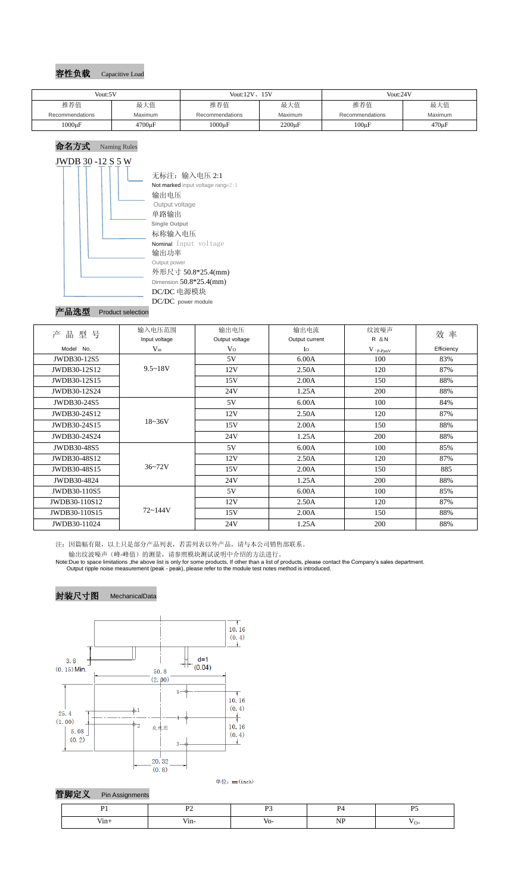

# 命名方式 Naming Rules JWDB 30 -12 S 5 W



## 产品选型 Product selection

| 产<br>型<br>号<br>品 | 输入电压范围        | 输出电压           | 输出电流           | 纹波噪声         | 效率         |
|------------------|---------------|----------------|----------------|--------------|------------|
|                  | Input voltage | Output voltage | Output current | <b>R</b> & N |            |
| Model No.        | $V_{in}$      | V <sub>O</sub> | $I_{\Omega}$   | $V$ (p-P)mV  | Efficiency |
| JWDB30-12S5      |               | 5V             | 6.00A          | 100          | 83%        |
| JWDB30-12S12     | $9.5 - 18V$   | 12V            | 2.50A          | 120          | 87%        |
| JWDB30-12S15     |               | 15V            | 2.00A          | 150          | 88%        |
| JWDB30-12S24     |               | 24V            | 1.25A          | 200          | 88%        |
| JWDB30-24S5      |               | 5V             | 6.00A          | 100          | 84%        |
| JWDB30-24S12     |               | 12V            | 2.50A          | 120          | 87%        |
| JWDB30-24S15     | $18 - 36V$    | 15V            | 2.00A          | 150          | 88%        |
| JWDB30-24S24     |               | 24V            | 1.25A          | 200          | 88%        |
| JWDB30-48S5      |               | 5V             | 6.00A          | 100          | 85%        |
| JWDB30-48S12     |               | 12V            | 2.50A          | 120          | 87%        |
| JWDB30-48S15     | $36 - 72V$    | 15V            | 2.00A          | 150          | 885        |
| JWDB30-4824      |               | 24V            | 1.25A          | 200          | 88%        |
| JWDB30-110S5     |               | 5V             | 6.00A          | 100          | 85%        |
| JWDB30-110S12    |               | 12V            | 2.50A          | 120          | 87%        |
| JWDB30-110S15    | $72 - 144V$   | 15V            | 2.00A          | 150          | 88%        |
| JWDB30-11024     |               | 24V            | 1.25A          | 200          | 88%        |

注:因篇幅有限,以上只是部分产品列表,若需列表以外产品,请与本公司销售部联系。 输出纹波噪声(峰-峰值)的测量,请参照模块测试说明中介绍的方法进行。

Note:Due to space limitations ,the above list is only for some products, If other than a list of products, please contact the Company's sales department. Output ripple noise measurement (peak - peak), please refer to the module test notes method is introduced.





单位: mm(inch)



| Vout:5V         |             | Vout: $12V$ , $15V$ |              | Vout:24V        |                |
|-----------------|-------------|---------------------|--------------|-----------------|----------------|
| 推荐值             | 最大值         | 推荐值                 | 最大值          | 推荐值             | 最大值            |
| Recommendations | Maximum     | Recommendations     | Maximum      | Recommendations | <b>Maximum</b> |
| $1000\mu F$     | $4700\mu F$ | $1000\mu F$         | $2200 \mu F$ | $100\mu F$      | $470 \mu F$    |

| .<br>$V1n+$ | /1n- | VO | ו ו<br>. |  |
|-------------|------|----|----------|--|